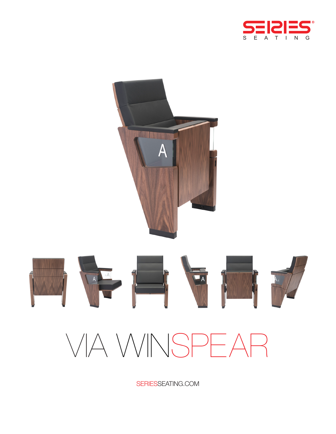



SERIESSEATING.COM